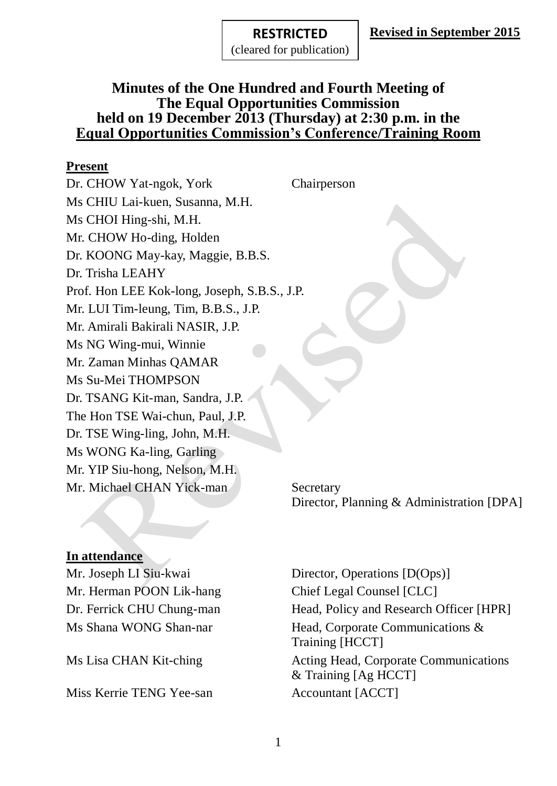#### **RESTRICTED RESTRICTED**

(cleared for publication)

### **Minutes of the One Hundred and Fourth Meeting of The Equal Opportunities Commission held on 19 December 2013 (Thursday) at 2:30 p.m. in the Equal Opportunities Commission's Conference/Training Room**

#### **Present**

Dr. CHOW Yat-ngok, York Chairperson Ms CHIU Lai-kuen, Susanna, M.H. Ms CHOI Hing-shi, M.H. Mr. CHOW Ho-ding, Holden Dr. KOONG May-kay, Maggie, B.B.S. Dr. Trisha LEAHY Prof. Hon LEE Kok-long, Joseph, S.B.S., J.P. Mr. LUI Tim-leung, Tim, B.B.S., J.P. Mr. Amirali Bakirali NASIR, J.P. Ms NG Wing-mui, Winnie Mr. Zaman Minhas QAMAR Ms Su-Mei THOMPSON Dr. TSANG Kit-man, Sandra, J.P. The Hon TSE Wai-chun, Paul, J.P. Dr. TSE Wing-ling, John, M.H. Ms WONG Ka-ling, Garling Mr. YIP Siu-hong, Nelson, M.H. Mr. Michael CHAN Yick-man Secretary

Director, Planning & Administration [DPA]

### **In attendance**

Mr. Herman POON Lik-hang Chief Legal Counsel [CLC]

Miss Kerrie TENG Yee-san Accountant [ACCT]

Mr. Joseph LI Siu-kwai Director, Operations [D(Ops)] Dr. Ferrick CHU Chung-man Head, Policy and Research Officer [HPR] Ms Shana WONG Shan-nar Head, Corporate Communications & Training [HCCT] Ms Lisa CHAN Kit-ching Acting Head, Corporate Communications & Training [Ag HCCT]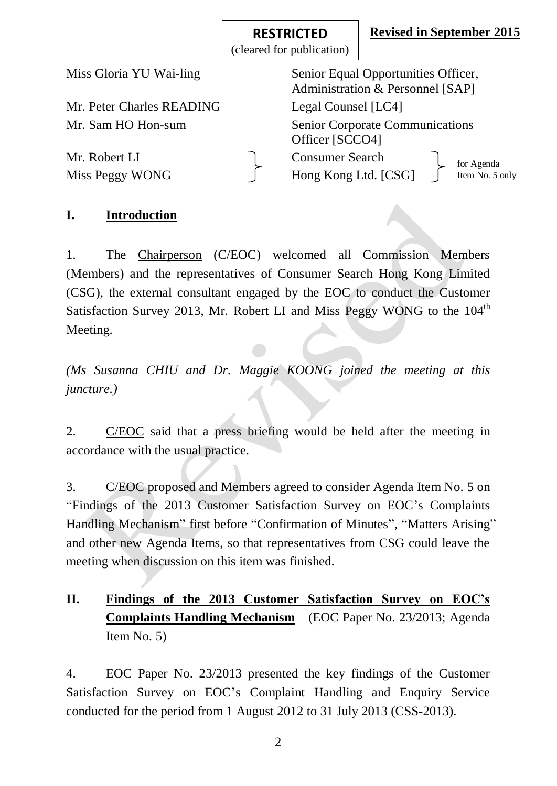**Revised in September 2015**

|                                  | (URANG IOI PUDIKANON)                                                   |                               |  |
|----------------------------------|-------------------------------------------------------------------------|-------------------------------|--|
| Miss Gloria YU Wai-ling          | Senior Equal Opportunities Officer,<br>Administration & Personnel [SAP] |                               |  |
| Mr. Peter Charles READING        | Legal Counsel [LC4]                                                     |                               |  |
| Mr. Sam HO Hon-sum               | <b>Senior Corporate Communications</b><br>Officer [SCCO4]               |                               |  |
| Mr. Robert LI<br>Miss Peggy WONG | <b>Consumer Search</b><br>Hong Kong Ltd. [CSG]                          | for Agenda<br>Item No. 5 only |  |

**RESTRICTED RESTRICTED** (cleared for publication)

### **I. Introduction**

1. The Chairperson (C/EOC) welcomed all Commission Members (Members) and the representatives of Consumer Search Hong Kong Limited (CSG), the external consultant engaged by the EOC to conduct the Customer Satisfaction Survey 2013, Mr. Robert LI and Miss Peggy WONG to the  $104<sup>th</sup>$ Meeting.

*(Ms Susanna CHIU and Dr. Maggie KOONG joined the meeting at this juncture.)*

2. C/EOC said that a press briefing would be held after the meeting in accordance with the usual practice.

3. C/EOC proposed and Members agreed to consider Agenda Item No. 5 on "Findings of the 2013 Customer Satisfaction Survey on EOC's Complaints Handling Mechanism" first before "Confirmation of Minutes", "Matters Arising" and other new Agenda Items, so that representatives from CSG could leave the meeting when discussion on this item was finished.

# **II. Findings of the 2013 Customer Satisfaction Survey on EOC's Complaints Handling Mechanism** (EOC Paper No. 23/2013; Agenda Item No. 5)

4. EOC Paper No. 23/2013 presented the key findings of the Customer Satisfaction Survey on EOC's Complaint Handling and Enquiry Service conducted for the period from 1 August 2012 to 31 July 2013 (CSS-2013).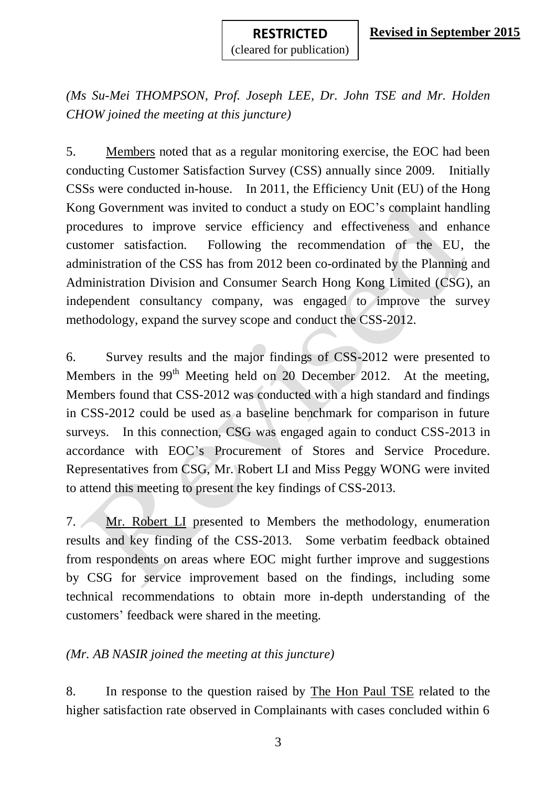*(Ms Su-Mei THOMPSON, Prof. Joseph LEE, Dr. John TSE and Mr. Holden CHOW joined the meeting at this juncture)* 

5. Members noted that as a regular monitoring exercise, the EOC had been conducting Customer Satisfaction Survey (CSS) annually since 2009. Initially CSSs were conducted in-house. In 2011, the Efficiency Unit (EU) of the Hong Kong Government was invited to conduct a study on EOC's complaint handling procedures to improve service efficiency and effectiveness and enhance customer satisfaction. Following the recommendation of the EU, the administration of the CSS has from 2012 been co-ordinated by the Planning and Administration Division and Consumer Search Hong Kong Limited (CSG), an independent consultancy company, was engaged to improve the survey methodology, expand the survey scope and conduct the CSS-2012.

6. Survey results and the major findings of CSS-2012 were presented to Members in the  $99<sup>th</sup>$  Meeting held on 20 December 2012. At the meeting, Members found that CSS-2012 was conducted with a high standard and findings in CSS-2012 could be used as a baseline benchmark for comparison in future surveys. In this connection, CSG was engaged again to conduct CSS-2013 in accordance with EOC's Procurement of Stores and Service Procedure. Representatives from CSG, Mr. Robert LI and Miss Peggy WONG were invited to attend this meeting to present the key findings of CSS-2013.

7. Mr. Robert LI presented to Members the methodology, enumeration results and key finding of the CSS-2013. Some verbatim feedback obtained from respondents on areas where EOC might further improve and suggestions by CSG for service improvement based on the findings, including some technical recommendations to obtain more in-depth understanding of the customers' feedback were shared in the meeting.

### *(Mr. AB NASIR joined the meeting at this juncture)*

8. In response to the question raised by The Hon Paul TSE related to the higher satisfaction rate observed in Complainants with cases concluded within 6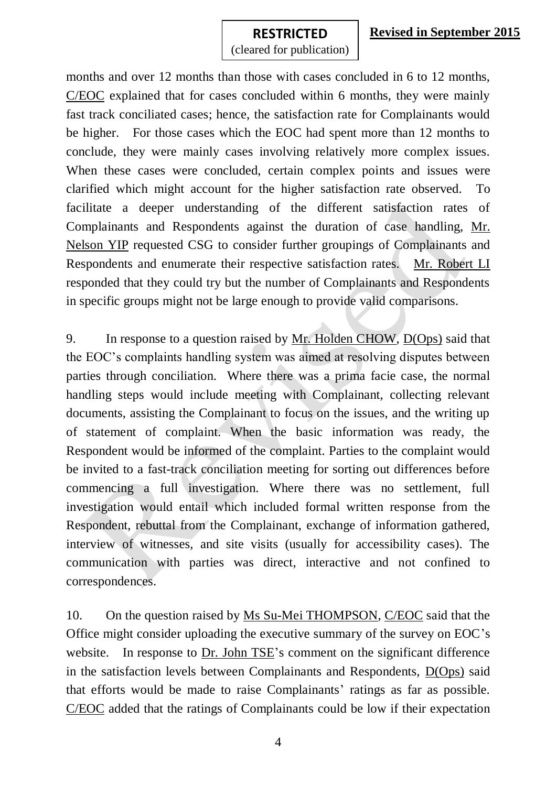### **Revised in September 2015**

**RESTRICTED RESTRICTED** (cleared for publication)

months and over 12 months than those with cases concluded in 6 to 12 months, C/EOC explained that for cases concluded within 6 months, they were mainly fast track conciliated cases; hence, the satisfaction rate for Complainants would be higher. For those cases which the EOC had spent more than 12 months to conclude, they were mainly cases involving relatively more complex issues. When these cases were concluded, certain complex points and issues were clarified which might account for the higher satisfaction rate observed. To facilitate a deeper understanding of the different satisfaction rates of Complainants and Respondents against the duration of case handling, Mr. Nelson YIP requested CSG to consider further groupings of Complainants and Respondents and enumerate their respective satisfaction rates. Mr. Robert LI responded that they could try but the number of Complainants and Respondents in specific groups might not be large enough to provide valid comparisons.

9. In response to a question raised by Mr. Holden CHOW, D(Ops) said that the EOC's complaints handling system was aimed at resolving disputes between parties through conciliation. Where there was a prima facie case, the normal handling steps would include meeting with Complainant, collecting relevant documents, assisting the Complainant to focus on the issues, and the writing up of statement of complaint. When the basic information was ready, the Respondent would be informed of the complaint. Parties to the complaint would be invited to a fast-track conciliation meeting for sorting out differences before commencing a full investigation. Where there was no settlement, full investigation would entail which included formal written response from the Respondent, rebuttal from the Complainant, exchange of information gathered, interview of witnesses, and site visits (usually for accessibility cases). The communication with parties was direct, interactive and not confined to correspondences.

10. On the question raised by Ms Su-Mei THOMPSON, C/EOC said that the Office might consider uploading the executive summary of the survey on EOC's website. In response to Dr. John TSE's comment on the significant difference in the satisfaction levels between Complainants and Respondents, D(Ops) said that efforts would be made to raise Complainants' ratings as far as possible. C/EOC added that the ratings of Complainants could be low if their expectation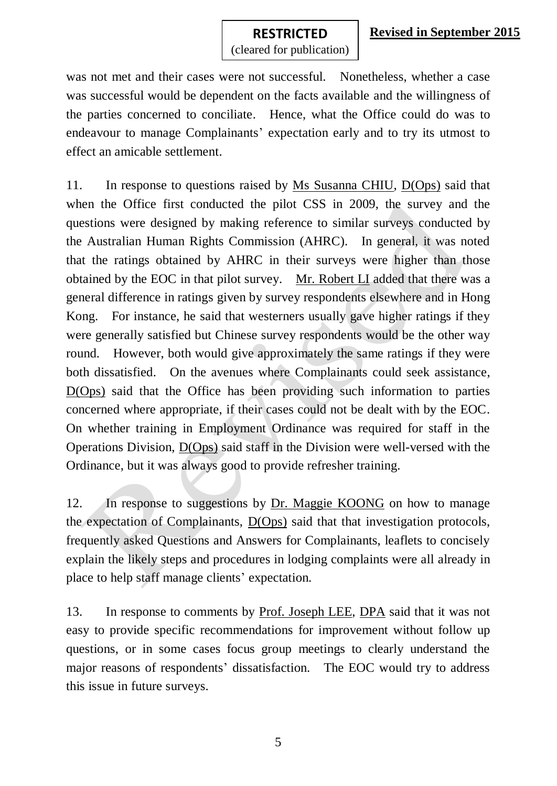#### **RESTRICTED RESTRICTED**

(cleared for publication)

was not met and their cases were not successful. Nonetheless, whether a case was successful would be dependent on the facts available and the willingness of the parties concerned to conciliate. Hence, what the Office could do was to endeavour to manage Complainants' expectation early and to try its utmost to effect an amicable settlement.

11. In response to questions raised by Ms Susanna CHIU, D(Ops) said that when the Office first conducted the pilot CSS in 2009, the survey and the questions were designed by making reference to similar surveys conducted by the Australian Human Rights Commission (AHRC). In general, it was noted that the ratings obtained by AHRC in their surveys were higher than those obtained by the EOC in that pilot survey. Mr. Robert LI added that there was a general difference in ratings given by survey respondents elsewhere and in Hong Kong. For instance, he said that westerners usually gave higher ratings if they were generally satisfied but Chinese survey respondents would be the other way round. However, both would give approximately the same ratings if they were both dissatisfied. On the avenues where Complainants could seek assistance, D(Ops) said that the Office has been providing such information to parties concerned where appropriate, if their cases could not be dealt with by the EOC. On whether training in Employment Ordinance was required for staff in the Operations Division, D(Ops) said staff in the Division were well-versed with the Ordinance, but it was always good to provide refresher training.

12. In response to suggestions by Dr. Maggie KOONG on how to manage the expectation of Complainants, D(Ops) said that that investigation protocols, frequently asked Questions and Answers for Complainants, leaflets to concisely explain the likely steps and procedures in lodging complaints were all already in place to help staff manage clients' expectation.

13. In response to comments by Prof. Joseph LEE, DPA said that it was not easy to provide specific recommendations for improvement without follow up questions, or in some cases focus group meetings to clearly understand the major reasons of respondents' dissatisfaction. The EOC would try to address this issue in future surveys.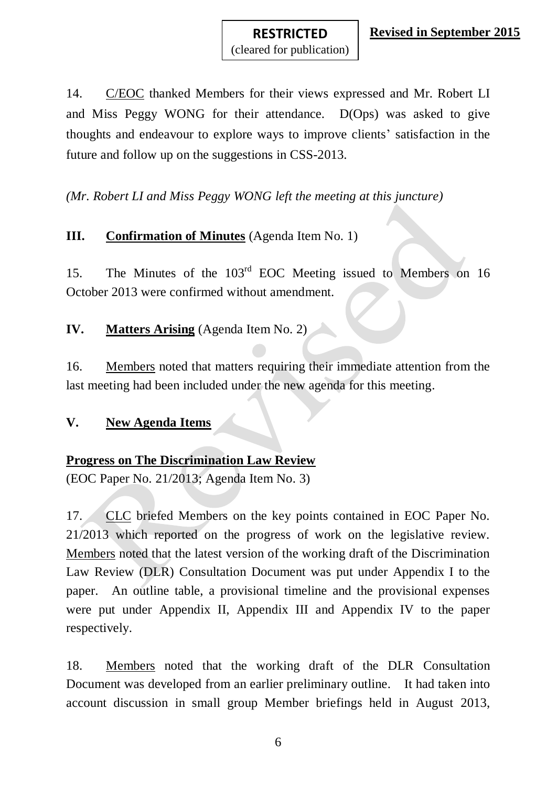14. C/EOC thanked Members for their views expressed and Mr. Robert LI and Miss Peggy WONG for their attendance. D(Ops) was asked to give thoughts and endeavour to explore ways to improve clients' satisfaction in the future and follow up on the suggestions in CSS-2013.

*(Mr. Robert LI and Miss Peggy WONG left the meeting at this juncture)*

# **III. Confirmation of Minutes** (Agenda Item No. 1)

15. The Minutes of the 103rd EOC Meeting issued to Members on 16 October 2013 were confirmed without amendment.

## **IV. Matters Arising** (Agenda Item No. 2)

16. Members noted that matters requiring their immediate attention from the last meeting had been included under the new agenda for this meeting.

### **V. New Agenda Items**

# **Progress on The Discrimination Law Review**

(EOC Paper No. 21/2013; Agenda Item No. 3)

17. CLC briefed Members on the key points contained in EOC Paper No. 21/2013 which reported on the progress of work on the legislative review. Members noted that the latest version of the working draft of the Discrimination Law Review (DLR) Consultation Document was put under Appendix I to the paper. An outline table, a provisional timeline and the provisional expenses were put under Appendix II, Appendix III and Appendix IV to the paper respectively.

18. Members noted that the working draft of the DLR Consultation Document was developed from an earlier preliminary outline. It had taken into account discussion in small group Member briefings held in August 2013,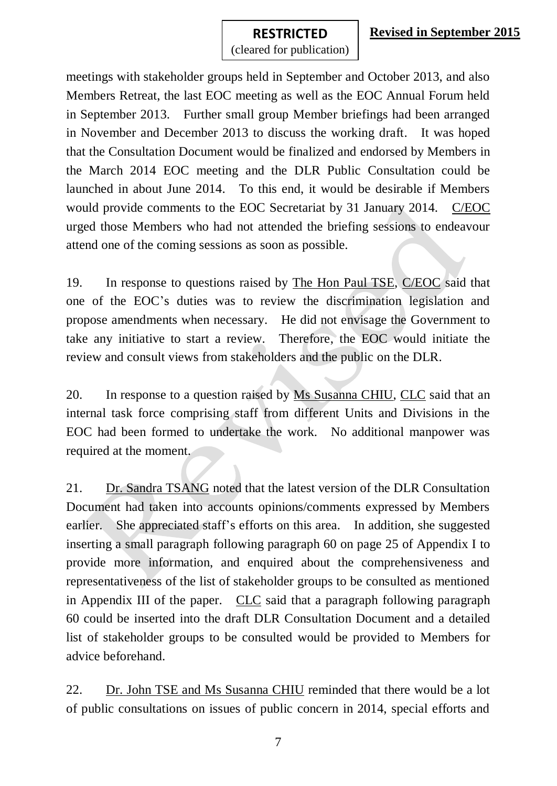meetings with stakeholder groups held in September and October 2013, and also Members Retreat, the last EOC meeting as well as the EOC Annual Forum held in September 2013. Further small group Member briefings had been arranged in November and December 2013 to discuss the working draft. It was hoped that the Consultation Document would be finalized and endorsed by Members in the March 2014 EOC meeting and the DLR Public Consultation could be launched in about June 2014. To this end, it would be desirable if Members would provide comments to the EOC Secretariat by 31 January 2014. C/EOC urged those Members who had not attended the briefing sessions to endeavour attend one of the coming sessions as soon as possible.

19. In response to questions raised by The Hon Paul TSE, C/EOC said that one of the EOC's duties was to review the discrimination legislation and propose amendments when necessary. He did not envisage the Government to take any initiative to start a review. Therefore, the EOC would initiate the review and consult views from stakeholders and the public on the DLR.

20. In response to a question raised by Ms Susanna CHIU, CLC said that an internal task force comprising staff from different Units and Divisions in the EOC had been formed to undertake the work. No additional manpower was required at the moment.

21. Dr. Sandra TSANG noted that the latest version of the DLR Consultation Document had taken into accounts opinions/comments expressed by Members earlier. She appreciated staff's efforts on this area. In addition, she suggested inserting a small paragraph following paragraph 60 on page 25 of Appendix I to provide more information, and enquired about the comprehensiveness and representativeness of the list of stakeholder groups to be consulted as mentioned in Appendix III of the paper. CLC said that a paragraph following paragraph 60 could be inserted into the draft DLR Consultation Document and a detailed list of stakeholder groups to be consulted would be provided to Members for advice beforehand.

22. Dr. John TSE and Ms Susanna CHIU reminded that there would be a lot of public consultations on issues of public concern in 2014, special efforts and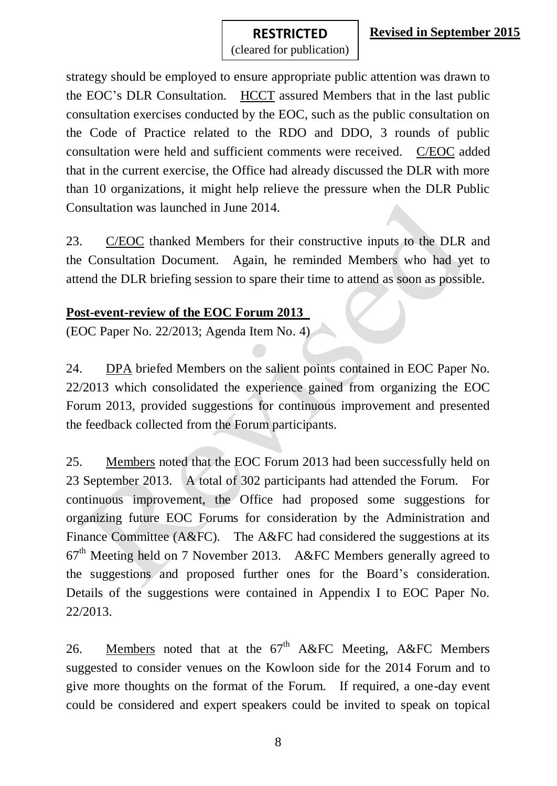strategy should be employed to ensure appropriate public attention was drawn to the EOC's DLR Consultation. HCCT assured Members that in the last public consultation exercises conducted by the EOC, such as the public consultation on the Code of Practice related to the RDO and DDO, 3 rounds of public consultation were held and sufficient comments were received. C/EOC added that in the current exercise, the Office had already discussed the DLR with more than 10 organizations, it might help relieve the pressure when the DLR Public Consultation was launched in June 2014.

23. C/EOC thanked Members for their constructive inputs to the DLR and the Consultation Document. Again, he reminded Members who had yet to attend the DLR briefing session to spare their time to attend as soon as possible.

### **Post-event-review of the EOC Forum 2013**

(EOC Paper No. 22/2013; Agenda Item No. 4)

24. DPA briefed Members on the salient points contained in EOC Paper No. 22/2013 which consolidated the experience gained from organizing the EOC Forum 2013, provided suggestions for continuous improvement and presented the feedback collected from the Forum participants.

25. Members noted that the EOC Forum 2013 had been successfully held on 23 September 2013. A total of 302 participants had attended the Forum. For continuous improvement, the Office had proposed some suggestions for organizing future EOC Forums for consideration by the Administration and Finance Committee (A&FC). The A&FC had considered the suggestions at its 67th Meeting held on 7 November 2013. A&FC Members generally agreed to the suggestions and proposed further ones for the Board's consideration. Details of the suggestions were contained in Appendix I to EOC Paper No. 22/2013.

26. Members noted that at the  $67<sup>th</sup>$  A&FC Meeting, A&FC Members suggested to consider venues on the Kowloon side for the 2014 Forum and to give more thoughts on the format of the Forum. If required, a one-day event could be considered and expert speakers could be invited to speak on topical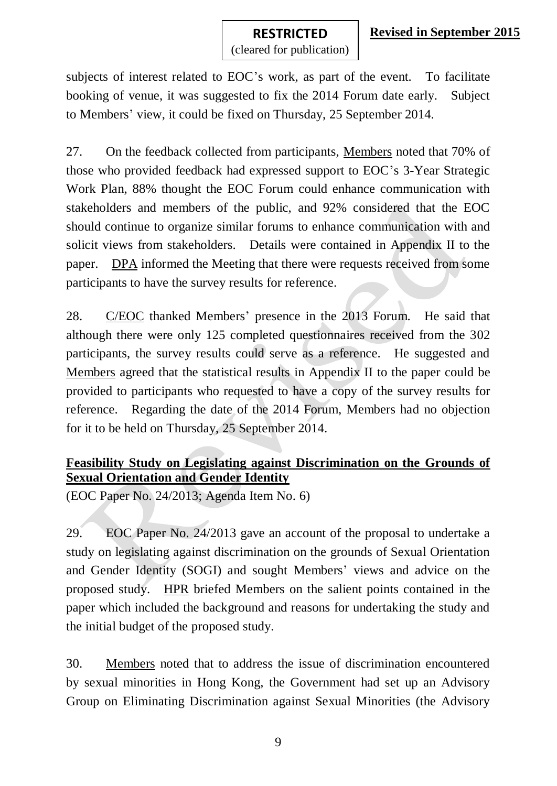### **Revised in September 2015**

#### **RESTRICTED RESTRICTED**

(cleared for publication)

subjects of interest related to EOC's work, as part of the event. To facilitate booking of venue, it was suggested to fix the 2014 Forum date early. Subject to Members' view, it could be fixed on Thursday, 25 September 2014.

27. On the feedback collected from participants, Members noted that 70% of those who provided feedback had expressed support to EOC's 3-Year Strategic Work Plan, 88% thought the EOC Forum could enhance communication with stakeholders and members of the public, and 92% considered that the EOC should continue to organize similar forums to enhance communication with and solicit views from stakeholders. Details were contained in Appendix II to the paper. DPA informed the Meeting that there were requests received from some participants to have the survey results for reference.

28. C/EOC thanked Members' presence in the 2013 Forum. He said that although there were only 125 completed questionnaires received from the 302 participants, the survey results could serve as a reference. He suggested and Members agreed that the statistical results in Appendix II to the paper could be provided to participants who requested to have a copy of the survey results for reference. Regarding the date of the 2014 Forum, Members had no objection for it to be held on Thursday, 25 September 2014.

# **Feasibility Study on Legislating against Discrimination on the Grounds of Sexual Orientation and Gender Identity**

(EOC Paper No. 24/2013; Agenda Item No. 6)

29. EOC Paper No. 24/2013 gave an account of the proposal to undertake a study on legislating against discrimination on the grounds of Sexual Orientation and Gender Identity (SOGI) and sought Members' views and advice on the proposed study. HPR briefed Members on the salient points contained in the paper which included the background and reasons for undertaking the study and the initial budget of the proposed study.

30. Members noted that to address the issue of discrimination encountered by sexual minorities in Hong Kong, the Government had set up an Advisory Group on Eliminating Discrimination against Sexual Minorities (the Advisory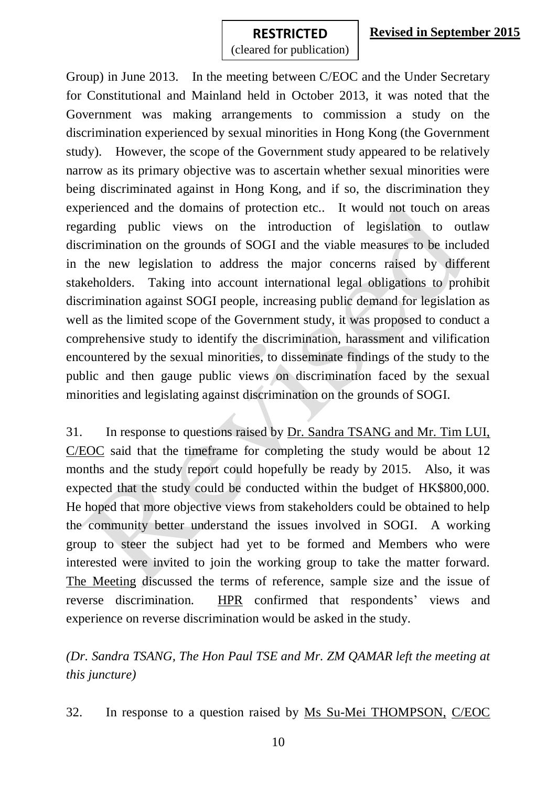Group) in June 2013. In the meeting between C/EOC and the Under Secretary for Constitutional and Mainland held in October 2013, it was noted that the Government was making arrangements to commission a study on the discrimination experienced by sexual minorities in Hong Kong (the Government study). However, the scope of the Government study appeared to be relatively narrow as its primary objective was to ascertain whether sexual minorities were being discriminated against in Hong Kong, and if so, the discrimination they experienced and the domains of protection etc.. It would not touch on areas regarding public views on the introduction of legislation to outlaw discrimination on the grounds of SOGI and the viable measures to be included in the new legislation to address the major concerns raised by different stakeholders. Taking into account international legal obligations to prohibit discrimination against SOGI people, increasing public demand for legislation as well as the limited scope of the Government study, it was proposed to conduct a comprehensive study to identify the discrimination, harassment and vilification encountered by the sexual minorities, to disseminate findings of the study to the public and then gauge public views on discrimination faced by the sexual minorities and legislating against discrimination on the grounds of SOGI.

31. In response to questions raised by Dr. Sandra TSANG and Mr. Tim LUI, C/EOC said that the timeframe for completing the study would be about 12 months and the study report could hopefully be ready by 2015. Also, it was expected that the study could be conducted within the budget of HK\$800,000. He hoped that more objective views from stakeholders could be obtained to help the community better understand the issues involved in SOGI. A working group to steer the subject had yet to be formed and Members who were interested were invited to join the working group to take the matter forward. The Meeting discussed the terms of reference, sample size and the issue of reverse discrimination. HPR confirmed that respondents' views and experience on reverse discrimination would be asked in the study.

*(Dr. Sandra TSANG, The Hon Paul TSE and Mr. ZM QAMAR left the meeting at this juncture)*

32. In response to a question raised by Ms Su-Mei THOMPSON, C/EOC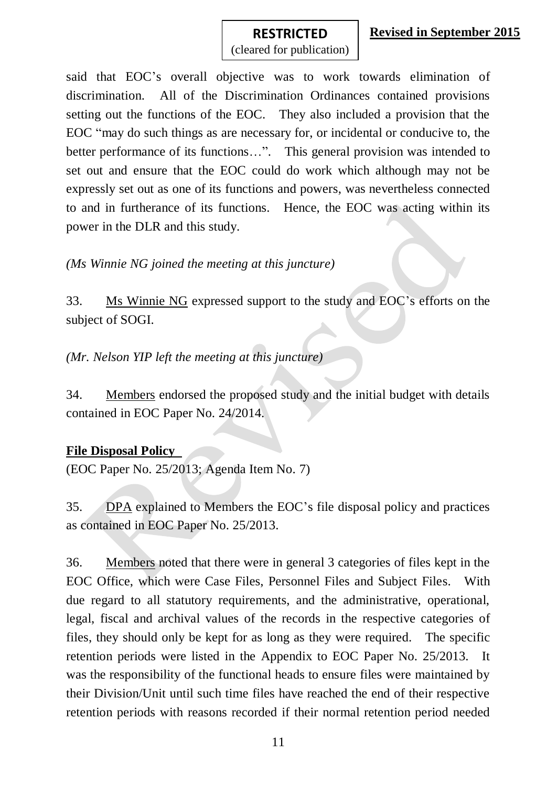said that EOC's overall objective was to work towards elimination of discrimination. All of the Discrimination Ordinances contained provisions setting out the functions of the EOC. They also included a provision that the EOC "may do such things as are necessary for, or incidental or conducive to, the better performance of its functions...". This general provision was intended to set out and ensure that the EOC could do work which although may not be expressly set out as one of its functions and powers, was nevertheless connected to and in furtherance of its functions. Hence, the EOC was acting within its power in the DLR and this study.

*(Ms Winnie NG joined the meeting at this juncture)*

33. Ms Winnie NG expressed support to the study and EOC's efforts on the subject of SOGI.

*(Mr. Nelson YIP left the meeting at this juncture)*

34. Members endorsed the proposed study and the initial budget with details contained in EOC Paper No. 24/2014.

### **File Disposal Policy**

(EOC Paper No. 25/2013; Agenda Item No. 7)

35. DPA explained to Members the EOC's file disposal policy and practices as contained in EOC Paper No. 25/2013.

36. Members noted that there were in general 3 categories of files kept in the EOC Office, which were Case Files, Personnel Files and Subject Files. With due regard to all statutory requirements, and the administrative, operational, legal, fiscal and archival values of the records in the respective categories of files, they should only be kept for as long as they were required. The specific retention periods were listed in the Appendix to EOC Paper No. 25/2013. It was the responsibility of the functional heads to ensure files were maintained by their Division/Unit until such time files have reached the end of their respective retention periods with reasons recorded if their normal retention period needed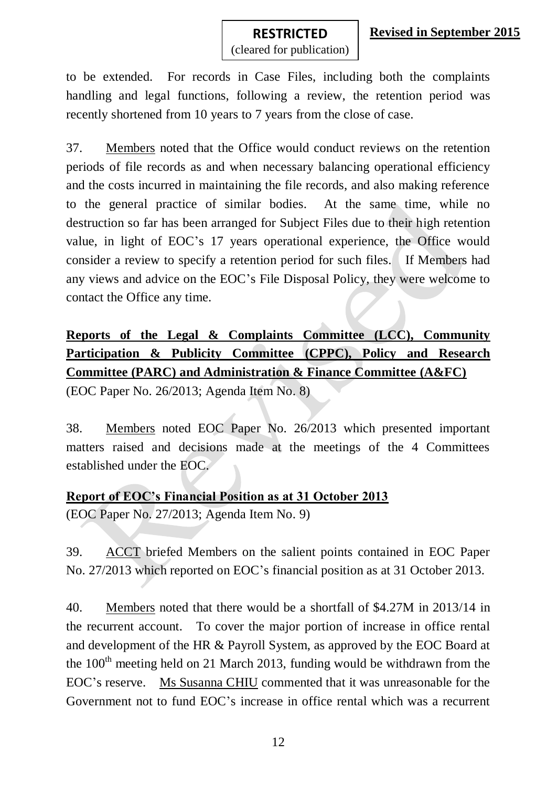# **RESTRICTED RESTRICTED**

(cleared for publication)

to be extended. For records in Case Files, including both the complaints handling and legal functions, following a review, the retention period was recently shortened from 10 years to 7 years from the close of case.

37. Members noted that the Office would conduct reviews on the retention periods of file records as and when necessary balancing operational efficiency and the costs incurred in maintaining the file records, and also making reference to the general practice of similar bodies. At the same time, while no destruction so far has been arranged for Subject Files due to their high retention value, in light of EOC's 17 years operational experience, the Office would consider a review to specify a retention period for such files. If Members had any views and advice on the EOC's File Disposal Policy, they were welcome to contact the Office any time.

# **Reports of the Legal & Complaints Committee (LCC), Community Participation & Publicity Committee (CPPC), Policy and Research Committee (PARC) and Administration & Finance Committee (A&FC)**

(EOC Paper No. 26/2013; Agenda Item No. 8)

38. Members noted EOC Paper No. 26/2013 which presented important matters raised and decisions made at the meetings of the 4 Committees established under the EOC.

### **Report of EOC's Financial Position as at 31 October 2013**

(EOC Paper No. 27/2013; Agenda Item No. 9)

39. ACCT briefed Members on the salient points contained in EOC Paper No. 27/2013 which reported on EOC's financial position as at 31 October 2013.

40. Members noted that there would be a shortfall of \$4.27M in 2013/14 in the recurrent account. To cover the major portion of increase in office rental and development of the HR & Payroll System, as approved by the EOC Board at the  $100<sup>th</sup>$  meeting held on 21 March 2013, funding would be withdrawn from the EOC's reserve. Ms Susanna CHIU commented that it was unreasonable for the Government not to fund EOC's increase in office rental which was a recurrent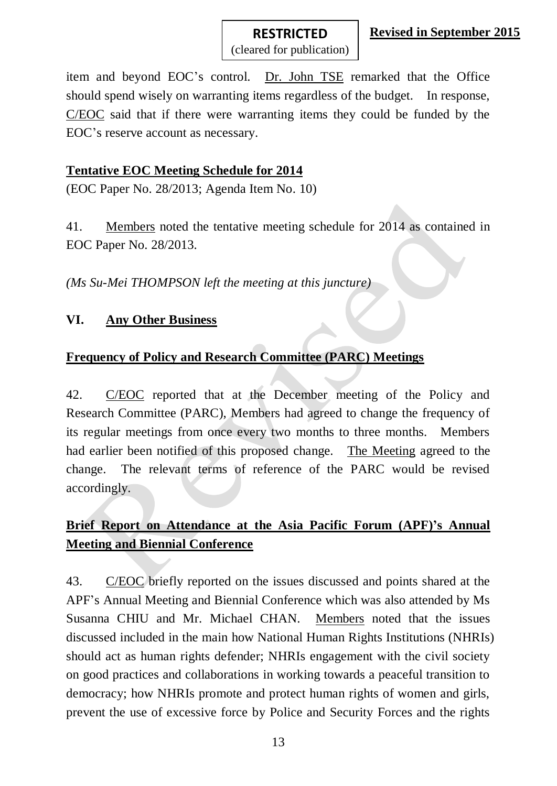(cleared for publication) item and beyond EOC's control. Dr. John TSE remarked that the Office

**RESTRICTED RESTRICTED**

should spend wisely on warranting items regardless of the budget. In response, C/EOC said that if there were warranting items they could be funded by the EOC's reserve account as necessary.

### **Tentative EOC Meeting Schedule for 2014**

(EOC Paper No. 28/2013; Agenda Item No. 10)

41. Members noted the tentative meeting schedule for 2014 as contained in EOC Paper No. 28/2013.

*(Ms Su-Mei THOMPSON left the meeting at this juncture)*

### **VI. Any Other Business**

# **Frequency of Policy and Research Committee (PARC) Meetings**

42. C/EOC reported that at the December meeting of the Policy and Research Committee (PARC), Members had agreed to change the frequency of its regular meetings from once every two months to three months. Members had earlier been notified of this proposed change. The Meeting agreed to the change. The relevant terms of reference of the PARC would be revised accordingly.

# **Brief Report on Attendance at the Asia Pacific Forum (APF)'s Annual Meeting and Biennial Conference**

43. C/EOC briefly reported on the issues discussed and points shared at the APF's Annual Meeting and Biennial Conference which was also attended by Ms Susanna CHIU and Mr. Michael CHAN. Members noted that the issues discussed included in the main how National Human Rights Institutions (NHRIs) should act as human rights defender; NHRIs engagement with the civil society on good practices and collaborations in working towards a peaceful transition to democracy; how NHRIs promote and protect human rights of women and girls, prevent the use of excessive force by Police and Security Forces and the rights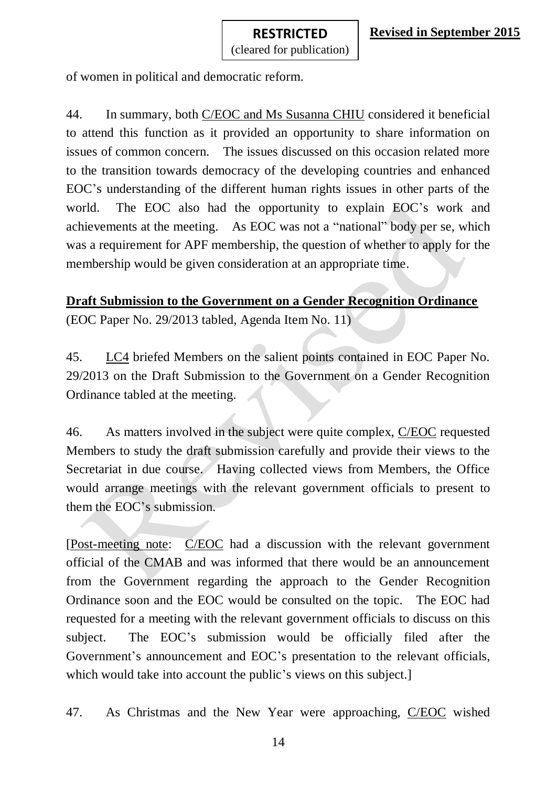of women in political and democratic reform.

44. In summary, both C/EOC and Ms Susanna CHIU considered it beneficial to attend this function as it provided an opportunity to share information on issues of common concern. The issues discussed on this occasion related more to the transition towards democracy of the developing countries and enhanced EOC's understanding of the different human rights issues in other parts of the world. The EOC also had the opportunity to explain EOC's work and achievements at the meeting. As EOC was not a "national" body per se, which was a requirement for APF membership, the question of whether to apply for the membership would be given consideration at an appropriate time.

# **Draft Submission to the Government on a Gender Recognition Ordinance** (EOC Paper No. 29/2013 tabled, Agenda Item No. 11)

45. LC4 briefed Members on the salient points contained in EOC Paper No. 29/2013 on the Draft Submission to the Government on a Gender Recognition Ordinance tabled at the meeting.

46. As matters involved in the subject were quite complex, C/EOC requested Members to study the draft submission carefully and provide their views to the Secretariat in due course. Having collected views from Members, the Office would arrange meetings with the relevant government officials to present to them the EOC's submission.

[Post-meeting note: C/EOC had a discussion with the relevant government official of the CMAB and was informed that there would be an announcement from the Government regarding the approach to the Gender Recognition Ordinance soon and the EOC would be consulted on the topic. The EOC had requested for a meeting with the relevant government officials to discuss on this subject. The EOC's submission would be officially filed after the Government's announcement and EOC's presentation to the relevant officials, which would take into account the public's views on this subject.]

47. As Christmas and the New Year were approaching, C/EOC wished